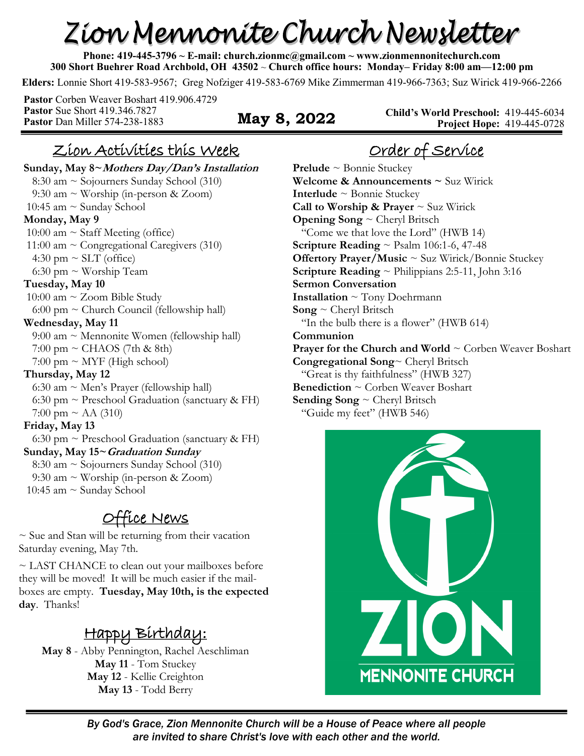# Zion Mennonite Church Newsletter

**Phone: 419-445-3796 ~ E-mail: church.zionmc@gmail.com ~ www.zionmennonitechurch.com 300 Short Buehrer Road Archbold, OH 43502** ~ **Church office hours: Monday– Friday 8:00 am—12:00 pm** 

**Elders:** Lonnie Short 419-583-9567; Greg Nofziger 419-583-6769 Mike Zimmerman 419-966-7363; Suz Wirick 419-966-2266

**Pastor** Corben Weaver Boshart 419.906.4729 **Pastor** Sue Short 419.346.7827 **Pastor** Dan Miller 574-238-1883 **May 8, 2022** 

**Child's World Preschool:** 419-445-6034 **Project Hope:** 419-445-0728

#### Zion Activities this Week

**Sunday, May 8~Mothers Day/Dan's Installation** 8:30 am ~ Sojourners Sunday School (310) 9:30 am ~ Worship (in-person & Zoom) 10:45 am ~ Sunday School **Monday, May 9**  10:00 am  $\sim$  Staff Meeting (office) 11:00 am  $\sim$  Congregational Caregivers (310) 4:30 pm  $\sim$  SLT (office) 6:30 pm  $\sim$  Worship Team **Tuesday, May 10** 10:00 am  $\sim$  Zoom Bible Study  $6:00 \text{ pm} \sim \text{Church Council}$  (fellowship hall) **Wednesday, May 11** 9:00 am ~ Mennonite Women (fellowship hall)  $7:00 \text{ pm} \sim \text{CHAOS}$  (7th & 8th)  $7:00 \text{ pm} \sim \text{MYF}$  (High school) **Thursday, May 12** 6:30 am  $\sim$  Men's Prayer (fellowship hall) 6:30 pm  $\sim$  Preschool Graduation (sanctuary & FH) 7:00 pm  $\sim$  AA (310) **Friday, May 13** 6:30 pm  $\sim$  Preschool Graduation (sanctuary & FH) **Sunday, May 15~Graduation Sunday** 8:30 am ~ Sojourners Sunday School (310) 9:30 am  $\sim$  Worship (in-person & Zoom) 10:45 am ~ Sunday School

#### Office News

 $\sim$  Sue and Stan will be returning from their vacation Saturday evening, May 7th.

~ LAST CHANCE to clean out your mailboxes before they will be moved! It will be much easier if the mailboxes are empty. **Tuesday, May 10th, is the expected day**. Thanks!

# Happy Birthday:

**May 8** - Abby Pennington, Rachel Aeschliman **May 11** - Tom Stuckey **May 12** - Kellie Creighton **May 13** - Todd Berry

# Order of Service

**Prelude** ~ Bonnie Stuckey **Welcome & Announcements ~** Suz Wirick **Interlude** ~ Bonnie Stuckey **Call to Worship & Prayer**  $\sim$  Suz Wirick **Opening Song** ~ Cheryl Britsch "Come we that love the Lord" (HWB 14) **Scripture Reading** ~ Psalm 106:1-6, 47-48 **Offertory Prayer/Music ~ Suz Wirick/Bonnie Stuckey Scripture Reading** ~ Philippians 2:5-11, John 3:16 **Sermon Conversation Installation** ~ Tony Doehrmann **Song** ~ Cheryl Britsch "In the bulb there is a flower" (HWB 614) **Communion Prayer for the Church and World ~ Corben Weaver Boshart Congregational Song**~ Cheryl Britsch "Great is thy faithfulness" (HWB 327) **Benediction** ~ Corben Weaver Boshart **Sending Song** ~ Cheryl Britsch "Guide my feet" (HWB 546)



*By God's Grace, Zion Mennonite Church will be a House of Peace where all people are invited to share Christ's love with each other and the world.*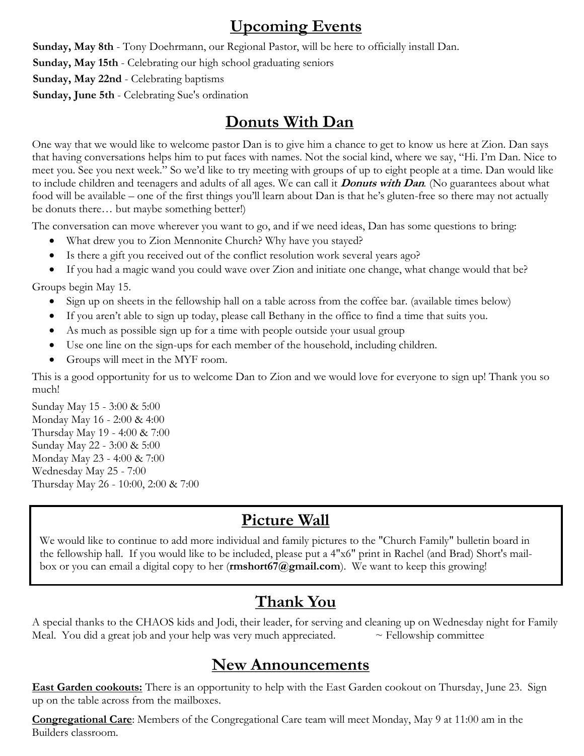#### **Upcoming Events**

**Sunday, May 8th** - Tony Doehrmann, our Regional Pastor, will be here to officially install Dan. **Sunday, May 15th** - Celebrating our high school graduating seniors **Sunday, May 22nd** - Celebrating baptisms **Sunday, June 5th** - Celebrating Sue's ordination

#### **Donuts With Dan**

One way that we would like to welcome pastor Dan is to give him a chance to get to know us here at Zion. Dan says that having conversations helps him to put faces with names. Not the social kind, where we say, "Hi. I'm Dan. Nice to meet you. See you next week." So we'd like to try meeting with groups of up to eight people at a time. Dan would like to include children and teenagers and adults of all ages. We can call it **Donuts with Dan***.* (No guarantees about what food will be available – one of the first things you'll learn about Dan is that he's gluten-free so there may not actually be donuts there… but maybe something better!)

The conversation can move wherever you want to go, and if we need ideas, Dan has some questions to bring:

- What drew you to Zion Mennonite Church? Why have you stayed?
- Is there a gift you received out of the conflict resolution work several years ago?
- If you had a magic wand you could wave over Zion and initiate one change, what change would that be?

Groups begin May 15.

- Sign up on sheets in the fellowship hall on a table across from the coffee bar. (available times below)
- If you aren't able to sign up today, please call Bethany in the office to find a time that suits you.
- As much as possible sign up for a time with people outside your usual group
- Use one line on the sign-ups for each member of the household, including children.
- Groups will meet in the MYF room.

This is a good opportunity for us to welcome Dan to Zion and we would love for everyone to sign up! Thank you so much!

Sunday May 15 - 3:00 & 5:00 Monday May 16 - 2:00 & 4:00 Thursday May 19 - 4:00 & 7:00 Sunday May 22 - 3:00 & 5:00 Monday May 23 - 4:00 & 7:00 Wednesday May 25 - 7:00 Thursday May 26 - 10:00, 2:00 & 7:00

## **Picture Wall**

We would like to continue to add more individual and family pictures to the "Church Family" bulletin board in the fellowship hall. If you would like to be included, please put a 4"x6" print in Rachel (and Brad) Short's mailbox or you can email a digital copy to her (**rmshort67@gmail.com**). We want to keep this growing!

## **Thank You**

A special thanks to the CHAOS kids and Jodi, their leader, for serving and cleaning up on Wednesday night for Family Meal. You did a great job and your help was very much appreciated.  $\sim$  Fellowship committee

#### **New Announcements**

**East Garden cookouts:** There is an opportunity to help with the East Garden cookout on Thursday, June 23. Sign up on the table across from the mailboxes.

**Congregational Care**: Members of the Congregational Care team will meet Monday, May 9 at 11:00 am in the Builders classroom.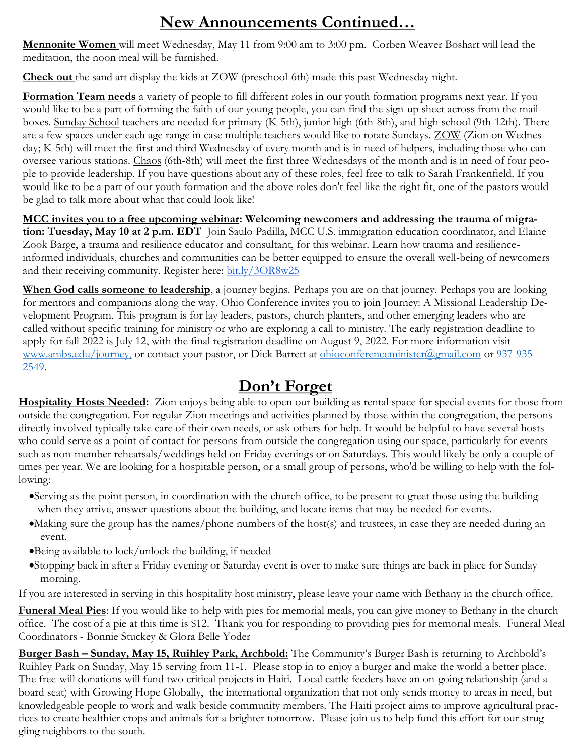## **New Announcements Continued…**

**Mennonite Women** will meet Wednesday, May 11 from 9:00 am to 3:00 pm. Corben Weaver Boshart will lead the meditation, the noon meal will be furnished.

**Check out** the sand art display the kids at ZOW (preschool-6th) made this past Wednesday night.

**Formation Team needs** a variety of people to fill different roles in our youth formation programs next year. If you would like to be a part of forming the faith of our young people, you can find the sign-up sheet across from the mailboxes. Sunday School teachers are needed for primary (K-5th), junior high (6th-8th), and high school (9th-12th). There are a few spaces under each age range in case multiple teachers would like to rotate Sundays. ZOW (Zion on Wednesday; K-5th) will meet the first and third Wednesday of every month and is in need of helpers, including those who can oversee various stations. Chaos (6th-8th) will meet the first three Wednesdays of the month and is in need of four people to provide leadership. If you have questions about any of these roles, feel free to talk to Sarah Frankenfield. If you would like to be a part of our youth formation and the above roles don't feel like the right fit, one of the pastors would be glad to talk more about what that could look like!

**MCC invites you to a free upcoming webinar: Welcoming newcomers and addressing the trauma of migration: Tuesday, May 10 at 2 p.m. EDT** Join Saulo Padilla, MCC U.S. immigration education coordinator, and Elaine Zook Barge, a trauma and resilience educator and consultant, for this webinar. Learn how trauma and resilienceinformed individuals, churches and communities can be better equipped to ensure the overall well-being of newcomers and their receiving community. Register here: [bit.ly/3OR8w25](https://bit.ly/3OR8w25)

**When God calls someone to leadership**, a journey begins. Perhaps you are on that journey. Perhaps you are looking for mentors and companions along the way. Ohio Conference invites you to join Journey: A Missional Leadership Development Program. This program is for lay leaders, pastors, church planters, and other emerging leaders who are called without specific training for ministry or who are exploring a call to ministry. The early registration deadline to apply for fall 2022 is July 12, with the final registration deadline on August 9, 2022. For more information visit [www.ambs.edu/journey,](http://www.ambs.edu/journey) or contact your pastor, or Dick Barrett at [ohioconferenceminister@gmail.com](http://ohioconferenceminister@gmail.com/) or 937-935-2549.

## **Don't Forget**

**Hospitality Hosts Needed:** Zion enjoys being able to open our building as rental space for special events for those from outside the congregation. For regular Zion meetings and activities planned by those within the congregation, the persons directly involved typically take care of their own needs, or ask others for help. It would be helpful to have several hosts who could serve as a point of contact for persons from outside the congregation using our space, particularly for events such as non-member rehearsals/weddings held on Friday evenings or on Saturdays. This would likely be only a couple of times per year. We are looking for a hospitable person, or a small group of persons, who'd be willing to help with the following:

- •Serving as the point person, in coordination with the church office, to be present to greet those using the building when they arrive, answer questions about the building, and locate items that may be needed for events.
- •Making sure the group has the names/phone numbers of the host(s) and trustees, in case they are needed during an event.
- •Being available to lock/unlock the building, if needed
- •Stopping back in after a Friday evening or Saturday event is over to make sure things are back in place for Sunday morning.

If you are interested in serving in this hospitality host ministry, please leave your name with Bethany in the church office.

**Funeral Meal Pies**: If you would like to help with pies for memorial meals, you can give money to Bethany in the church office. The cost of a pie at this time is \$12. Thank you for responding to providing pies for memorial meals. Funeral Meal Coordinators - Bonnie Stuckey & Glora Belle Yoder

**Burger Bash – Sunday, May 15, Ruihley Park, Archbold:** The Community's Burger Bash is returning to Archbold's Ruihley Park on Sunday, May 15 serving from 11-1. Please stop in to enjoy a burger and make the world a better place. The free-will donations will fund two critical projects in Haiti. Local cattle feeders have an on-going relationship (and a board seat) with Growing Hope Globally, the international organization that not only sends money to areas in need, but knowledgeable people to work and walk beside community members. The Haiti project aims to improve agricultural practices to create healthier crops and animals for a brighter tomorrow. Please join us to help fund this effort for our struggling neighbors to the south.